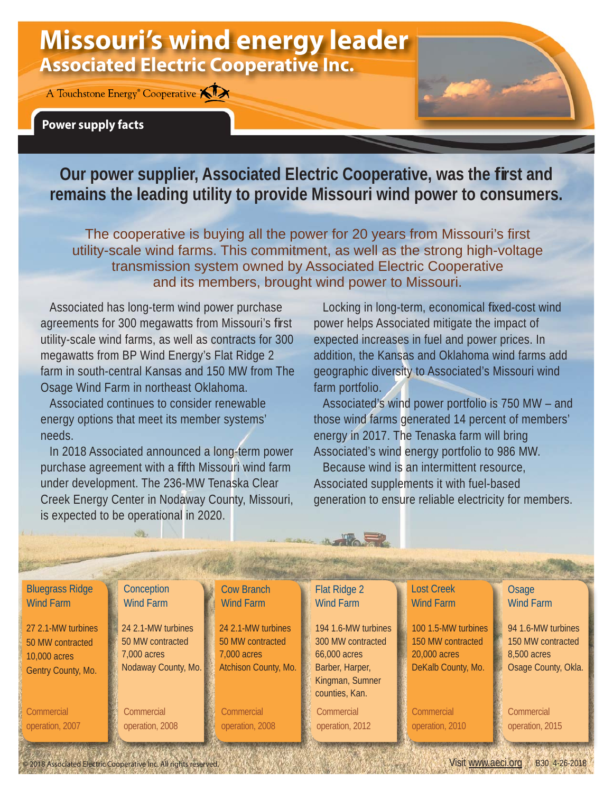## **Missouri's wind energy leader Associated Electric Cooperative Inc.**

A Touchstone Energy<sup>®</sup> Cooperative **XIX** 

## **Power supply facts**

**Our power supplier, Associated Electric Cooperative, was the first and remains the leading utility to provide Missouri wind power to consumers.**

The cooperative is buying all the power for 20 years from Missouri's first utility-scale wind farms. This commitment, as well as the strong high-voltage transmission system owned by Associated Electric Cooperative and its members, brought wind power to Missouri.

Associated has long-term wind power purchase agreements for 300 megawatts from Missouri's first utility-scale wind farms, as well as contracts for 300 megawatts from BP Wind Energy's Flat Ridge 2 farm in south-central Kansas and 150 MW from The Osage Wind Farm in northeast Oklahoma.

Associated continues to consider renewable energy options that meet its member systems' needs.

In 2018 Associated announced a long-term power purchase agreement with a fifth Missouri wind farm under development. The 236-MW Tenaska Clear Creek Energy Center in Nodaway County, Missouri, is expected to be operational in 2020.

Locking in long-term, economical fixed-cost wind power helps Associated mitigate the impact of expected increases in fuel and power prices. In addition, the Kansas and Oklahoma wind farms add geographic diversity to Associated's Missouri wind farm portfolio.

Associated's wind power portfolio is 750 MW – and those wind farms generated 14 percent of members' energy in 2017. The Tenaska farm will bring Associated's wind energy portfolio to 986 MW.

Because wind is an intermittent resource, Associated supplements it with fuel-based generation to ensure reliable electricity for members.

| <b>Bluegrass Ridge</b><br><b>Wind Farm</b>                                   | Conception<br><b>Wind Farm</b>                                               | <b>Cow Branch</b><br><b>Wind Farm</b>                                         | Flat Ridge 2<br><b>Wind Farm</b>                                                                                 | <b>Lost Creek</b><br><b>Wind Farm</b>                                          | Osage<br><b>Wind Farm</b>                                                     |
|------------------------------------------------------------------------------|------------------------------------------------------------------------------|-------------------------------------------------------------------------------|------------------------------------------------------------------------------------------------------------------|--------------------------------------------------------------------------------|-------------------------------------------------------------------------------|
| 27 2.1-MW turbines<br>50 MW contracted<br>10,000 acres<br>Gentry County, Mo. | 24 2.1-MW turbines<br>50 MW contracted<br>7,000 acres<br>Nodaway County, Mo. | 24 2.1-MW turbines<br>50 MW contracted<br>7,000 acres<br>Atchison County, Mo. | 194 1.6-MW turbines<br>300 MW contracted<br>66,000 acres<br>Barber, Harper,<br>Kingman, Sumner<br>counties, Kan. | 100 1.5-MW turbines<br>150 MW contracted<br>20,000 acres<br>DeKalb County, Mo. | 94 1.6-MW turbines<br>150 MW contracted<br>8,500 acres<br>Osage County, Okla. |
| Commercial<br>operation, 2007                                                | Commercial<br>operation, 2008                                                | Commercial<br>operation, 2008                                                 | Commercial<br>operation, 2012                                                                                    | Commercial<br>operation, 2010                                                  | Commercial<br>operation, 2015                                                 |
|                                                                              |                                                                              |                                                                               |                                                                                                                  |                                                                                |                                                                               |

2018 Associated Electric Cooperative Inc. All rights reserved. Visit www.aeci.org B30 4-26-2018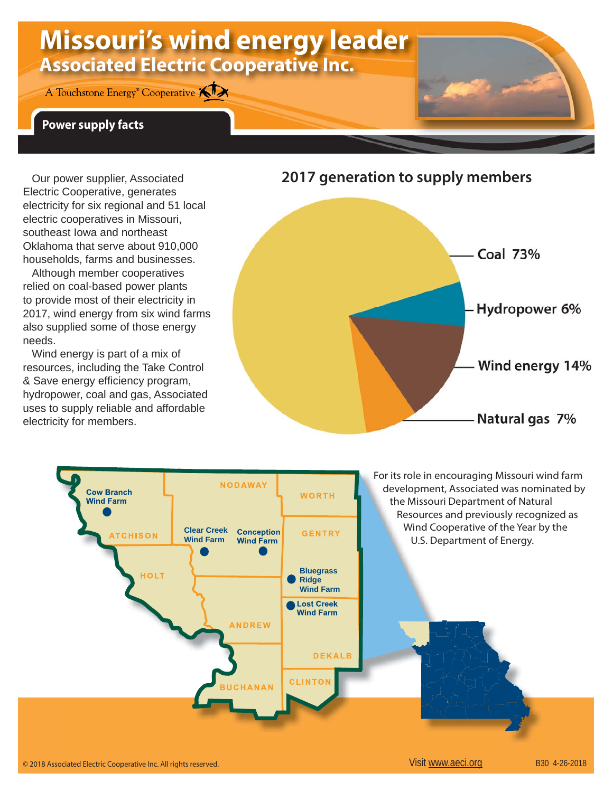# **Missouri's wind energy leader Associated Electric Cooperative Inc.**

A Touchstone Energy<sup>®</sup> Cooperative **KIX** 

### **Power supply facts**

Our power supplier, Associated Electric Cooperative, generates electricity for six regional and 51 local electric cooperatives in Missouri, southeast Iowa and northeast Oklahoma that serve about 910,000 households, farms and businesses.

Although member cooperatives relied on coal-based power plants to provide most of their electricity in 2017, wind energy from six wind farms also supplied some of those energy needs.

Wind energy is part of a mix of resources, including the Take Control & Save energy efficiency program, hydropower, coal and gas, Associated uses to supply reliable and affordable electricity for members.